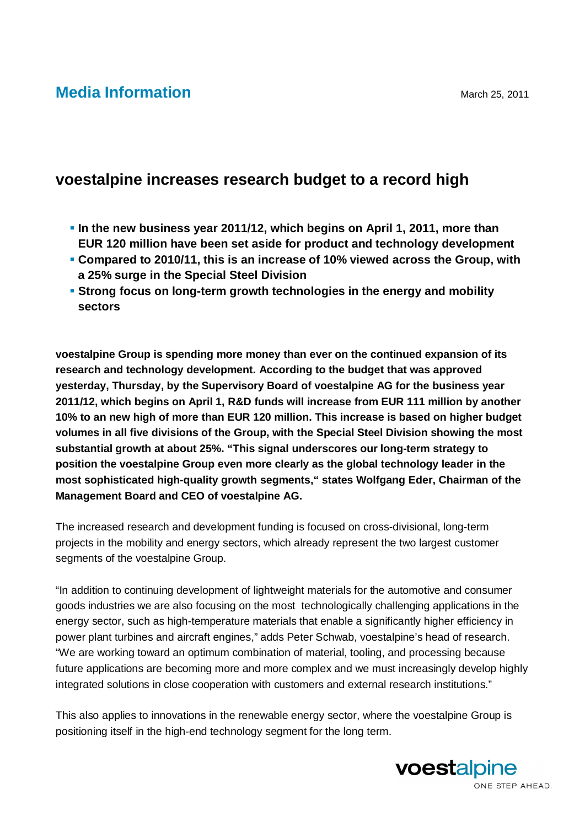## **Media Information** March 25, 2011

## **voestalpine increases research budget to a record high**

- **In the new business year 2011/12, which begins on April 1, 2011, more than EUR 120 million have been set aside for product and technology development**
- **Compared to 2010/11, this is an increase of 10% viewed across the Group, with a 25% surge in the Special Steel Division**
- **Strong focus on long-term growth technologies in the energy and mobility sectors**

**voestalpine Group is spending more money than ever on the continued expansion of its research and technology development. According to the budget that was approved yesterday, Thursday, by the Supervisory Board of voestalpine AG for the business year 2011/12, which begins on April 1, R&D funds will increase from EUR 111 million by another 10% to an new high of more than EUR 120 million. This increase is based on higher budget volumes in all five divisions of the Group, with the Special Steel Division showing the most substantial growth at about 25%. "This signal underscores our long-term strategy to position the voestalpine Group even more clearly as the global technology leader in the most sophisticated high-quality growth segments," states Wolfgang Eder, Chairman of the Management Board and CEO of voestalpine AG.** 

The increased research and development funding is focused on cross-divisional, long-term projects in the mobility and energy sectors, which already represent the two largest customer segments of the voestalpine Group.

"In addition to continuing development of lightweight materials for the automotive and consumer goods industries we are also focusing on the most technologically challenging applications in the energy sector, such as high-temperature materials that enable a significantly higher efficiency in power plant turbines and aircraft engines," adds Peter Schwab, voestalpine's head of research. "We are working toward an optimum combination of material, tooling, and processing because future applications are becoming more and more complex and we must increasingly develop highly integrated solutions in close cooperation with customers and external research institutions."

This also applies to innovations in the renewable energy sector, where the voestalpine Group is positioning itself in the high-end technology segment for the long term.